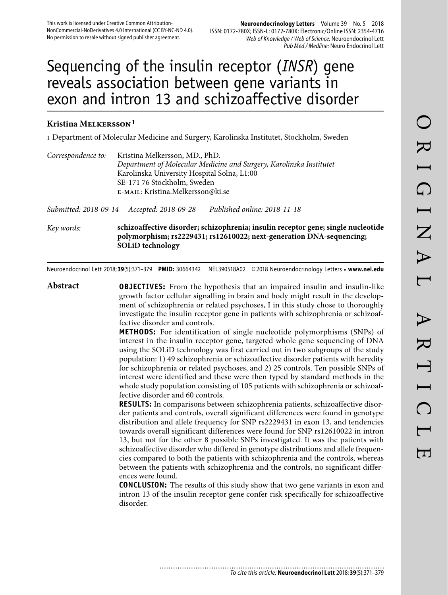# Sequencing of the insulin receptor (*INSR*) gene reveals association between gene variants in exon and intron 13 and schizoaffective disorder

## **Kristina Melkersson 1**

1 Department of Molecular Medicine and Surgery, Karolinska Institutet, Stockholm, Sweden

| Correspondence to: | Kristina Melkersson, MD., PhD.                                      |
|--------------------|---------------------------------------------------------------------|
|                    | Department of Molecular Medicine and Surgery, Karolinska Institutet |
|                    | Karolinska University Hospital Solna, L1:00                         |
|                    | SE-171 76 Stockholm, Sweden                                         |
|                    | E-MAIL: Kristina.Melkersson@ki.se                                   |

*Submitted: 2018-09-14 Accepted: 2018-09-28 Published online: 2018-11-18*

*Key words:* **schizoaffective disorder; schizophrenia; insulin receptor gene; single nucleotide polymorphism; rs2229431; rs12610022; next-generation DNA-sequencing; SOLiD technology** 

Neuroendocrinol Lett 2018; **39**(5):371–379 **PMID:** 30664342 NEL390518A02 © 2018 Neuroendocrinology Letters • **www.nel.edu**

**Abstract OBJECTIVES:** From the hypothesis that an impaired insulin and insulin-like growth factor cellular signalling in brain and body might result in the development of schizophrenia or related psychoses, I in this study chose to thoroughly investigate the insulin receptor gene in patients with schizophrenia or schizoaffective disorder and controls.

> **METHODS:** For identification of single nucleotide polymorphisms (SNPs) of interest in the insulin receptor gene, targeted whole gene sequencing of DNA using the SOLiD technology was first carried out in two subgroups of the study population: 1) 49 schizophrenia or schizoaffective disorder patients with heredity for schizophrenia or related psychoses, and 2) 25 controls. Ten possible SNPs of interest were identified and these were then typed by standard methods in the whole study population consisting of 105 patients with schizophrenia or schizoaffective disorder and 60 controls.

> **RESULTS:** In comparisons between schizophrenia patients, schizoaffective disorder patients and controls, overall significant differences were found in genotype distribution and allele frequency for SNP rs2229431 in exon 13, and tendencies towards overall significant differences were found for SNP rs12610022 in intron 13, but not for the other 8 possible SNPs investigated. It was the patients with schizoaffective disorder who differed in genotype distributions and allele frequencies compared to both the patients with schizophrenia and the controls, whereas between the patients with schizophrenia and the controls, no significant differences were found.

> **CONCLUSION:** The results of this study show that two gene variants in exon and intron 13 of the insulin receptor gene confer risk specifically for schizoaffective disorder.

> > ............................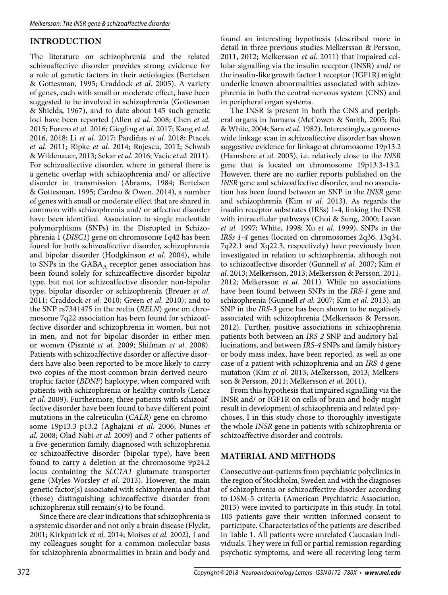# **INTRODUCTION**

The literature on schizophrenia and the related schizoaffective disorder provides strong evidence for a role of genetic factors in their aetiologies (Bertelsen & Gottesman, 1995; Craddock *et al.* 2005). A variety of genes, each with small or moderate effect, have been suggested to be involved in schizophrenia (Gottesman & Shields, 1967), and to date about 145 such genetic loci have been reported (Allen *et al.* 2008; Chen *et al.* 2015; Forero *et al.* 2016; Giegling *et al.* 2017; Kang *et al.* 2016, 2018; Li *et al.* 2017; Pardiňas *et al.* 2018; Ptacek *et al.* 2011; Ripke *et al.* 2014; Rujescu, 2012; Schwab & Wildenauer, 2013; Sekar *et al.* 2016; Vacic *et al.* 2011). For schizoaffective disorder, where in general there is a genetic overlap with schizophrenia and/ or affective disorder in transmission (Abrams, 1984; Bertelsen & Gottesman, 1995; Cardno & Owen, 2014), a number of genes with small or moderate effect that are shared in common with schizophrenia and/ or affective disorder have been identified. Association to single nucleotide polymorphisms (SNPs) in the Disrupted in Schizophrenia 1 (*DISC1*) gene on chromosome 1q42 has been found for both schizoaffective disorder, schizophrenia and bipolar disorder (Hodgkinson *et al.* 2004), while to SNPs in the  $GABA_A$  receptor genes association has been found solely for schizoaffective disorder bipolar type, but not for schizoaffective disorder non-bipolar type, bipolar disorder or schizophrenia (Breuer *et al.* 2011; Craddock *et al.* 2010; Green *et al.* 2010); and to the SNP rs7341475 in the reelin (*RELN*) gene on chromosome 7q22 association has been found for schizoaffective disorder and schizophrenia in women, but not in men, and not for bipolar disorder in either men or women (Pisanté *et al.* 2009; Shifman *et al.* 2008). Patients with schizoaffective disorder or affective disorders have also been reported to be more likely to carry two copies of the most common brain-derived neurotrophic factor (*BDNF*) haplotype, when compared with patients with schizophrenia or healthy controls (Lencz *et al.* 2009). Furthermore, three patients with schizoaffective disorder have been found to have different point mutations in the calreticulin (*CALR*) gene on chromosome 19p13.3-p13.2 (Aghajani *et al.* 2006; Nunes *et al.* 2008; Olad Nabi *et al.* 2009) and 7 other patients of a five-generation family, diagnosed with schizophrenia or schizoaffective disorder (bipolar type), have been found to carry a deletion at the chromosome 9p24.2 locus containing the *SLC1A1* glutamate transporter gene (Myles-Worsley *et al.* 2013). However, the main genetic factor(s) associated with schizophrenia and that (those) distinguishing schizoaffective disorder from schizophrenia still remain(s) to be found.

Since there are clear indications that schizophrenia is a systemic disorder and not only a brain disease (Flyckt, 2001; Kirkpatrick *et al.* 2014; Moises *et al.* 2002), I and my colleagues sought for a common molecular basis for schizophrenia abnormalities in brain and body and

found an interesting hypothesis (described more in detail in three previous studies Melkersson & Persson, 2011, 2012; Melkersson *et al.* 2011) that impaired cellular signalling via the insulin receptor (INSR) and/ or the insulin-like growth factor 1 receptor (IGF1R) might underlie known abnormalities associated with schizophrenia in both the central nervous system (CNS) and in peripheral organ systems.

The INSR is present in both the CNS and peripheral organs in humans (McCowen & Smith, 2005; Rui & White, 2004; Sara *et al.* 1982). Interestingly, a genomewide linkage scan in schizoaffective disorder has shown suggestive evidence for linkage at chromosome 19p13.2 (Hamshere *et al.* 2005), i.e. relatively close to the *INSR* gene that is located on chromosome 19p13.3-13.2. However, there are no earlier reports published on the *INSR* gene and schizoaffective disorder, and no association has been found between an SNP in the *INSR* gene and schizophrenia (Kim *et al.* 2013). As regards the insulin receptor substrates (IRSs) 1-4, linking the INSR with intracellular pathways (Choi & Sung, 2000; Lavan *et al.* 1997; White, 1998; Xu *et al.* 1999), SNPs in the *IRSs 1-4* genes (located on chromosomes 2q36, 13q34, 7q22.1 and Xq22.3, respectively) have previously been investigated in relation to schizophrenia, although not to schizoaffective disorder (Gunnell *et al.* 2007; Kim *et al.* 2013; Melkersson, 2013; Melkersson & Persson, 2011, 2012; Melkersson *et al.* 2011). While no associations have been found between SNPs in the *IRS-1* gene and schizophrenia (Gunnell *et al.* 2007; Kim *et al.* 2013), an SNP in the *IRS-3* gene has been shown to be negatively associated with schizophrenia (Melkersson & Persson, 2012). Further, positive associations in schizophrenia patients both between an *IRS-2* SNP and auditory hallucinations, and between *IRS-4* SNPs and family history or body mass index, have been reported, as well as one case of a patient with schizophrenia and an *IRS-4* gene mutation (Kim *et al.* 2013; Melkersson, 2013; Melkersson & Persson, 2011; Melkersson *et al.* 2011).

From this hypothesis that impaired signalling via the INSR and/ or IGF1R on cells of brain and body might result in development of schizophrenia and related psychoses, I in this study chose to thoroughly investigate the whole *INSR* gene in patients with schizophrenia or schizoaffective disorder and controls.

## **MATERIAL AND METHODS**

Consecutive out-patients from psychiatric polyclinics in the region of Stockholm, Sweden and with the diagnoses of schizophrenia or schizoaffective disorder according to DSM-5 criteria (American Psychiatric Association, 2013) were invited to participate in this study. In total 105 patients gave their written informed consent to participate. Characteristics of the patients are described in Table 1. All patients were unrelated Caucasian individuals. They were in full or partial remission regarding psychotic symptoms, and were all receiving long-term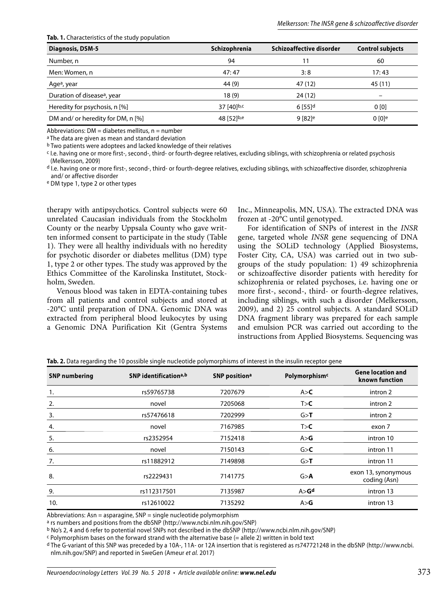| <b>Diagnosis, DSM-5</b>                 | Schizophrenia | Schizoaffective disorder | <b>Control subjects</b> |
|-----------------------------------------|---------------|--------------------------|-------------------------|
| Number, n                               | 94            | 11                       | 60                      |
| Men: Women, n                           | 47:47         | 3:8                      | 17:43                   |
| Age <sup>a</sup> , year                 | 44 (9)        | 47 (12)                  | 45 (11)                 |
| Duration of disease <sup>a</sup> , year | 18(9)         | 24 (12)                  | -                       |
| Heredity for psychosis, n [%]           | 37 [40]b,c    | $6$ [55] <sup>d</sup>    | 0[0]                    |
| DM and/ or heredity for DM, n [%]       | 48 [52]b,e    | $9 [82]$ <sup>e</sup>    | 0 <sup>[0]</sup>        |

**Tab. 1.** Characteristics of the study population

Abbreviations:  $DM =$  diabetes mellitus,  $n =$  number

a The data are given as mean and standard deviation

b Two patients were adoptees and lacked knowledge of their relatives

c I.e. having one or more first-, second-, third- or fourth-degree relatives, excluding siblings, with schizophrenia or related psychosis (Melkersson, 2009)

d I.e. having one or more first-, second-, third- or fourth-degree relatives, excluding siblings, with schizoaffective disorder, schizophrenia and/ or affective disorder

e DM type 1, type 2 or other types

therapy with antipsychotics. Control subjects were 60 unrelated Caucasian individuals from the Stockholm County or the nearby Uppsala County who gave written informed consent to participate in the study (Table 1). They were all healthy individuals with no heredity for psychotic disorder or diabetes mellitus (DM) type 1, type 2 or other types. The study was approved by the Ethics Committee of the Karolinska Institutet, Stockholm, Sweden.

Venous blood was taken in EDTA-containing tubes from all patients and control subjects and stored at -20°C until preparation of DNA. Genomic DNA was extracted from peripheral blood leukocytes by using a Genomic DNA Purification Kit (Gentra Systems

Inc., Minneapolis, MN, USA). The extracted DNA was frozen at -20°C until genotyped.

For identification of SNPs of interest in the *INSR* gene, targeted whole *INSR* gene sequencing of DNA using the SOLiD technology (Applied Biosystems, Foster City, CA, USA) was carried out in two subgroups of the study population: 1) 49 schizophrenia or schizoaffective disorder patients with heredity for schizophrenia or related psychoses, i.e. having one or more first-, second-, third- or fourth-degree relatives, including siblings, with such a disorder (Melkersson, 2009), and 2) 25 control subjects. A standard SOLiD DNA fragment library was prepared for each sample and emulsion PCR was carried out according to the instructions from Applied Biosystems. Sequencing was

| <b>SNP numbering</b> | SNP identification <sup>a,b</sup> | SNP position <sup>a</sup> | Polymorphism <sup>c</sup> | <b>Gene location and</b><br>known function |
|----------------------|-----------------------------------|---------------------------|---------------------------|--------------------------------------------|
| 1.                   | rs59765738                        | 7207679                   | A > C                     | intron 2                                   |
| 2.                   | novel                             | 7205068                   | T > C                     | intron 2                                   |
| 3.                   | rs57476618                        | 7202999                   | G > T                     | intron 2                                   |
| 4.                   | novel                             | 7167985                   | T > C                     | exon 7                                     |
| 5.                   | rs2352954                         | 7152418                   | A > G                     | intron 10                                  |
| 6.                   | novel                             | 7150143                   | G > C                     | intron 11                                  |
| 7.                   | rs11882912                        | 7149898                   | G > T                     | intron 11                                  |
| 8.                   | rs2229431                         | 7141775                   | G > A                     | exon 13, synonymous<br>coding (Asn)        |
| 9.                   | rs112317501                       | 7135987                   | A > G <sup>d</sup>        | intron 13                                  |
| 10.                  | rs12610022                        | 7135292                   | A > G                     | intron 13                                  |

**Tab. 2.** Data regarding the 10 possible single nucleotide polymorphisms of interest in the insulin receptor gene

Abbreviations: Asn = asparagine, SNP = single nucleotide polymorphism

a rs numbers and positions from the dbSNP (http://www.ncbi.nlm.nih.gov/SNP)

b No's 2, 4 and 6 refer to potential novel SNPs not described in the dbSNP (http://www.ncbi.nlm.nih.gov/SNP)

c Polymorphism bases on the forward strand with the alternative base (= allele 2) written in bold text

d The G-variant of this SNP was preceded by a 10A-, 11A- or 12A insertion that is registered as rs747721248 in the dbSNP (http://www.ncbi. nlm.nih.gov/SNP) and reported in SweGen (Ameur et al. 2017)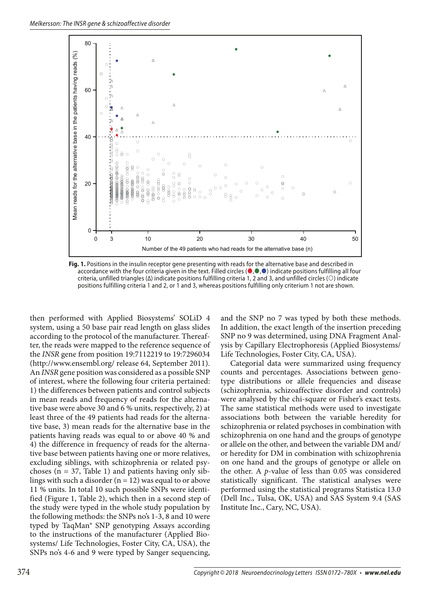

**Fig. 1.** Positions in the insulin receptor gene presenting with reads for the alternative base and described in accordance with the four criteria given in the text. Filled circles ( $\bullet, \bullet, \bullet$ ) indicate positions fulfilling all four criteria, unfilled triangles ( $\Delta$ ) indicate positions fulfilling criteria 1, 2 and 3, and unfilled circles ( $\odot$ ) indicate positions fulfilling criteria 1 and 2, or 1 and 3, whereas positions fulfilling only criterium 1 not are shown.

then performed with Applied Biosystems' SOLiD 4 system, using a 50 base pair read length on glass slides according to the protocol of the manufacturer. Thereafter, the reads were mapped to the reference sequence of the *INSR* gene from position 19:7112219 to 19:7296034 (http://www.ensembl.org/ release 64, September 2011). An *INSR* gene position was considered as a possible SNP of interest, where the following four criteria pertained: 1) the differences between patients and control subjects in mean reads and frequency of reads for the alternative base were above 30 and 6 % units, respectively, 2) at least three of the 49 patients had reads for the alternative base, 3) mean reads for the alternative base in the patients having reads was equal to or above 40 % and 4) the difference in frequency of reads for the alternative base between patients having one or more relatives, excluding siblings, with schizophrenia or related psychoses ( $n = 37$ , Table 1) and patients having only siblings with such a disorder  $(n = 12)$  was equal to or above 11 % units. In total 10 such possible SNPs were identified (Figure 1, Table 2), which then in a second step of the study were typed in the whole study population by the following methods: the SNPs no's 1-3, 8 and 10 were typed by TaqMan® SNP genotyping Assays according to the instructions of the manufacturer (Applied Biosystems/ Life Technologies, Foster City, CA, USA), the SNPs no's 4-6 and 9 were typed by Sanger sequencing,

and the SNP no 7 was typed by both these methods. In addition, the exact length of the insertion preceding SNP no 9 was determined, using DNA Fragment Analysis by Capillary Electrophoresis (Applied Biosystems/ Life Technologies, Foster City, CA, USA).

Categorial data were summarized using frequency counts and percentages. Associations between genotype distributions or allele frequencies and disease (schizophrenia, schizoaffective disorder and controls) were analysed by the chi-square or Fisher's exact tests. The same statistical methods were used to investigate associations both between the variable heredity for schizophrenia or related psychoses in combination with schizophrenia on one hand and the groups of genotype or allele on the other, and between the variable DM and/ or heredity for DM in combination with schizophrenia on one hand and the groups of genotype or allele on the other. A *p*-value of less than 0.05 was considered statistically significant. The statistical analyses were performed using the statistical programs Statistica 13.0 (Dell Inc., Tulsa, OK, USA) and SAS System 9.4 (SAS Institute Inc., Cary, NC, USA).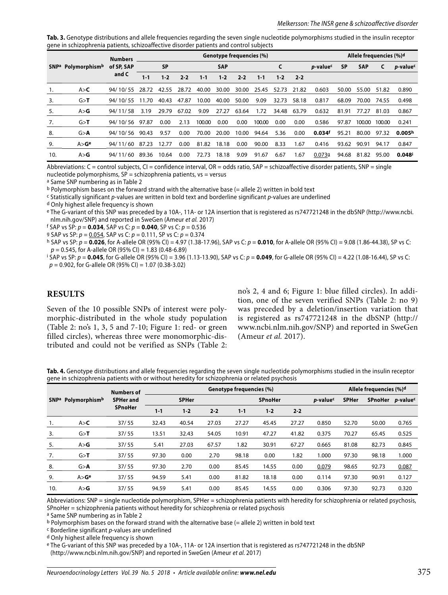Tab. 3. Genotype distributions and allele frequencies regarding the seven single nucleotide polymorphisms studied in the insulin receptor gene in schizophrenia patients, schizoaffective disorder patients and control subjects

|     |                                            | <b>Numbers</b>      | Genotype frequencies (%) |       |           |         |            |         |         |         |                        | Allele frequencies (%)d |            |        |                              |                    |
|-----|--------------------------------------------|---------------------|--------------------------|-------|-----------|---------|------------|---------|---------|---------|------------------------|-------------------------|------------|--------|------------------------------|--------------------|
|     | SNP <sup>a</sup> Polymorphism <sup>b</sup> | of SP, SAP<br>and C |                          |       | <b>SP</b> |         | <b>SAP</b> |         |         |         | <i><b>p-valuec</b></i> | <b>SP</b>               | <b>SAP</b> | C      | <i>p</i> -value <sup>c</sup> |                    |
|     |                                            |                     | 1-1                      | $1-2$ | $2 - 2$   | $1 - 1$ | $1 - 2$    | $2 - 2$ | $1 - 1$ | $1 - 2$ | $2 - 2$                |                         |            |        |                              |                    |
| 1.  | A > C                                      | 94/10/55            | 28.72                    | 42.55 | 28.72     | 40.00   | 30.00      | 30.00   | 25.45   | 52.73   | 21.82                  | 0.603                   | 50.00      | 55.00  | 51.82                        | 0.890              |
| 3.  | G > T                                      | 94/10/55            | 11.70                    | 40.43 | 47.87     | 10.00   | 40.00      | 50.00   | 9.09    | 32.73   | 58.18                  | 0.817                   | 68.09      | 70.00  | 74.55                        | 0.498              |
| 5.  | A > G                                      | 94/11/58            | 3.19                     | 29.79 | 67.02     | 9.09    | 27.27      | 63.64   | 1.72    | 34.48   | 63.79                  | 0.632                   | 81.91      | 77.27  | 81.03                        | 0.867              |
| 7.  | G > T                                      | 94/10/56            | 97.87                    | 0.00  | 2.13      | 100.00  | 0.00       | 0.00    | 100.00  | 0.00    | 0.00                   | 0.586                   | 97.87      | 100.00 | 100.00                       | 0.241              |
| 8.  | G > A                                      | 94/10/56            | 90.43                    | 9.57  | 0.00      | 70.00   | 20.00      | 10.00   | 94.64   | 5.36    | 0.00                   | 0.034 <sup>f</sup>      | 95.21      | 80.00  | 97.32                        | 0.005 <sup>h</sup> |
| 9.  | A > G <sup>e</sup>                         | 94/11/60            | 87.23                    | 12.77 | 0.00      | 81.82   | 18.18      | 0.00    | 90.00   | 8.33    | 1.67                   | 0.416                   | 93.62      | 90.91  | 94.17                        | 0.847              |
| 10. | A > G                                      | 94/11/60            | 89.36                    | 10.64 | 0.00      | 72.73   | 18.18      | 9.09    | 91.67   | 6.67    | 1.67                   | 0.0739                  | 94.68      | 81.82  | 95.00                        | 0.048 <sup>i</sup> |

Abbreviations: C = control subjects, CI = confidence interval, OR = odds ratio, SAP = schizoaffective disorder patients, SNP = single nucleotide polymorphisms,  $SP =$  schizophrenia patients,  $vs =$  versus

a Same SNP numbering as in Table 2

b Polymorphism bases on the forward strand with the alternative base (= allele 2) written in bold text

c Statistically significant p-values are written in bold text and borderline significant p-values are underlined

d Only highest allele frequency is shown

e The G-variant of this SNP was preceded by a 10A-, 11A- or 12A insertion that is registered as rs747721248 in the dbSNP (http://www.ncbi. nlm.nih.gov/SNP) and reported in SweGen (Ameur et al. 2017)

f SAP vs SP: p = **0.034**, SAP vs C: p = **0.040**, SP vs C: p = 0.536

9 SAP vs SP:  $p = 0.054$ , SAP vs C:  $p = 0.111$ , SP vs C:  $p = 0.374$ 

h SAP vs SP: p = **0.026**, for A-allele OR (95% CI) = 4.97 (1.38-17.96), SAP vs C: p = **0.010**, for A-allele OR (95% CI) = 9.08 (1.86-44.38), SP vs C:  $p = 0.545$ , for A-allele OR (95% CI) = 1.83 (0.48-6.89)

i SAP vs SP: p = **0.045**, for G-allele OR (95% CI) = 3.96 (1.13-13.90), SAP vs C: p = **0.049**, for G-allele OR (95% CI) = 4.22 (1.08-16.44), SP vs C:  $p = 0.902$ , for G-allele OR (95% CI) = 1.07 (0.38-3.02)

#### **RESULTS**

Seven of the 10 possible SNPs of interest were polymorphic-distributed in the whole study population (Table 2: no's 1, 3, 5 and 7-10; Figure 1: red- or green filled circles), whereas three were monomorphic-distributed and could not be verified as SNPs (Table 2: no's 2, 4 and 6; Figure 1: blue filled circles). In addition, one of the seven verified SNPs (Table 2: no 9) was preceded by a deletion/insertion variation that is registered as rs747721248 in the dbSNP (http:// www.ncbi.nlm.nih.gov/SNP) and reported in SweGen (Ameur *et al.* 2017).

**Tab. 4.** Genotype distributions and allele frequencies regarding the seven single nucleotide polymorphisms studied in the insulin receptor gene in schizophrenia patients with or without heredity for schizophrenia or related psychosis

|             |                    | <b>Numbers of</b><br><b>SPHer and</b><br><b>SPnoHer</b> | Genotype frequencies (%) |         |         |                |         |         |                      |              | Allele frequencies (%) <sup>d</sup> |                              |  |  |
|-------------|--------------------|---------------------------------------------------------|--------------------------|---------|---------|----------------|---------|---------|----------------------|--------------|-------------------------------------|------------------------------|--|--|
| <b>SNPa</b> | Polymorphismb      |                                                         | <b>SPHer</b>             |         |         | <b>SPnoHer</b> |         |         | p-value <sup>c</sup> | <b>SPHer</b> | <b>SPnoHer</b>                      | <i>p</i> -value <sup>c</sup> |  |  |
|             |                    |                                                         | $1 - 1$                  | $1 - 2$ | $2 - 2$ | $1 - 1$        | $1 - 2$ | $2 - 2$ |                      |              |                                     |                              |  |  |
| 1.          | A > C              | 37/55                                                   | 32.43                    | 40.54   | 27.03   | 27.27          | 45.45   | 27.27   | 0.850                | 52.70        | 50.00                               | 0.765                        |  |  |
| 3.          | G > T              | 37/55                                                   | 13.51                    | 32.43   | 54.05   | 10.91          | 47.27   | 41.82   | 0.375                | 70.27        | 65.45                               | 0.525                        |  |  |
| 5.          | A > G              | 37/55                                                   | 5.41                     | 27.03   | 67.57   | 1.82           | 30.91   | 67.27   | 0.665                | 81.08        | 82.73                               | 0.845                        |  |  |
| 7.          | G > T              | 37/55                                                   | 97.30                    | 0.00    | 2.70    | 98.18          | 0.00    | 1.82    | 1.000                | 97.30        | 98.18                               | 1.000                        |  |  |
| 8.          | G > A              | 37/55                                                   | 97.30                    | 2.70    | 0.00    | 85.45          | 14.55   | 0.00    | 0.079                | 98.65        | 92.73                               | 0.087                        |  |  |
| 9.          | A > G <sup>e</sup> | 37/55                                                   | 94.59                    | 5.41    | 0.00    | 81.82          | 18.18   | 0.00    | 0.114                | 97.30        | 90.91                               | 0.127                        |  |  |
| 10.         | A > G              | 37/55                                                   | 94.59                    | 5.41    | 0.00    | 85.45          | 14.55   | 0.00    | 0.306                | 97.30        | 92.73                               | 0.320                        |  |  |

Abbreviations: SNP = single nucleotide polymorphism, SPHer = schizophrenia patients with heredity for schizophrenia or related psychosis, SPnoHer = schizophrenia patients without heredity for schizophrenia or related psychosis

a Same SNP numbering as in Table 2

b Polymorphism bases on the forward strand with the alternative base (= allele 2) written in bold text

 $c$  Borderline significant  $p$ -values are underlined

d Only highest allele frequency is shown

e The G-variant of this SNP was preceded by a 10A-, 11A- or 12A insertion that is registered as rs747721248 in the dbSNP

(http://www.ncbi.nlm.nih.gov/SNP) and reported in SweGen (Ameur et al. 2017)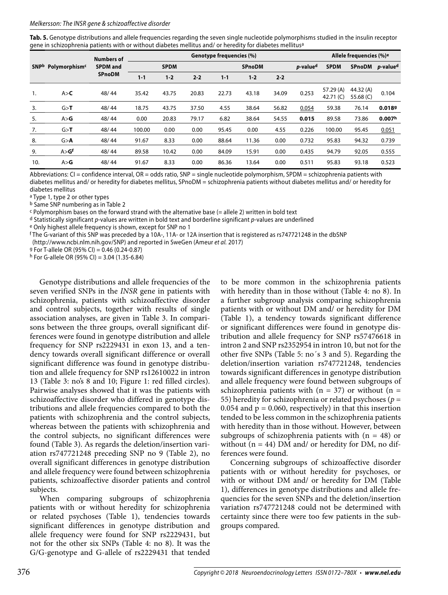#### Melkersson: The INSR gene & schizoaffective disorder

**Tab. 5.** Genotype distributions and allele frequencies regarding the seven single nucleotide polymorphisms studied in the insulin receptor gene in schizophrenia patients with or without diabetes mellitus and/ or heredity for diabetes mellitusa

|     |                                | <b>Numbers of</b><br><b>SPDM</b> and<br><b>SPnoDM</b> | Genotype frequencies (%) |             |         |               |       |         |                      |                          | Allele frequencies (%) <sup>e</sup> |                              |  |
|-----|--------------------------------|-------------------------------------------------------|--------------------------|-------------|---------|---------------|-------|---------|----------------------|--------------------------|-------------------------------------|------------------------------|--|
|     | SNPb Polymorphism <sup>c</sup> |                                                       |                          | <b>SPDM</b> |         | <b>SPnoDM</b> |       |         | p-value <sup>d</sup> | <b>SPDM</b>              | <b>SPnoDM</b>                       | <i>p</i> -value <sup>d</sup> |  |
|     |                                |                                                       | $1 - 1$                  | $1 - 2$     | $2 - 2$ | $1 - 1$       | $1-2$ | $2 - 2$ |                      |                          |                                     |                              |  |
| 1.  | A > C                          | 48/44                                                 | 35.42                    | 43.75       | 20.83   | 22.73         | 43.18 | 34.09   | 0.253                | 57.29 (A)<br>42.71 $(C)$ | 44.32(A)<br>55.68 (C)               | 0.104                        |  |
| 3.  | G > T                          | 48/44                                                 | 18.75                    | 43.75       | 37.50   | 4.55          | 38.64 | 56.82   | 0.054                | 59.38                    | 76.14                               | 0.0189                       |  |
| 5.  | A > G                          | 48/44                                                 | 0.00                     | 20.83       | 79.17   | 6.82          | 38.64 | 54.55   | 0.015                | 89.58                    | 73.86                               | 0.007 <sup>h</sup>           |  |
| 7.  | G > T                          | 48/44                                                 | 100.00                   | 0.00        | 0.00    | 95.45         | 0.00  | 4.55    | 0.226                | 100.00                   | 95.45                               | 0.051                        |  |
| 8.  | G > A                          | 48/44                                                 | 91.67                    | 8.33        | 0.00    | 88.64         | 11.36 | 0.00    | 0.732                | 95.83                    | 94.32                               | 0.739                        |  |
| 9.  | A > G <sup>f</sup>             | 48/44                                                 | 89.58                    | 10.42       | 0.00    | 84.09         | 15.91 | 0.00    | 0.435                | 94.79                    | 92.05                               | 0.555                        |  |
| 10. | A > G                          | 48/44                                                 | 91.67                    | 8.33        | 0.00    | 86.36         | 13.64 | 0.00    | 0.511                | 95.83                    | 93.18                               | 0.523                        |  |

Abbreviations: CI = confidence interval, OR = odds ratio, SNP = single nucleotide polymorphism, SPDM = schizophrenia patients with diabetes mellitus and/ or heredity for diabetes mellitus, SPnoDM = schizophrenia patients without diabetes mellitus and/ or heredity for diabetes mellitus

a Type 1, type 2 or other types

b Same SNP numbering as in Table 2

 $c$  Polymorphism bases on the forward strand with the alternative base (= allele 2) written in bold text

 $d$  Statistically significant p-values are written in bold text and borderline significant p-values are underlined

e Only highest allele frequency is shown, except for SNP no 1

f The G-variant of this SNP was preceded by a 10A-, 11A- or 12A insertion that is registered as rs747721248 in the dbSNP (http://www.ncbi.nlm.nih.gov/SNP) and reported in SweGen (Ameur et al. 2017)

g For T-allele OR (95% CI) = 0.46 (0.24-0.87)

h For G-allele OR (95% CI) = 3.04 (1.35-6.84)

Genotype distributions and allele frequencies of the seven verified SNPs in the *INSR* gene in patients with schizophrenia, patients with schizoaffective disorder and control subjects, together with results of single association analyses, are given in Table 3. In comparisons between the three groups, overall significant differences were found in genotype distribution and allele frequency for SNP rs2229431 in exon 13, and a tendency towards overall significant difference or overall significant difference was found in genotype distribution and allele frequency for SNP rs12610022 in intron 13 (Table 3: no's 8 and 10; Figure 1: red filled circles). Pairwise analyses showed that it was the patients with schizoaffective disorder who differed in genotype distributions and allele frequencies compared to both the patients with schizophrenia and the control subjects, whereas between the patients with schizophrenia and the control subjects, no significant differences were found (Table 3). As regards the deletion/insertion variation rs747721248 preceding SNP no 9 (Table 2), no overall significant differences in genotype distribution and allele frequency were found between schizophrenia patients, schizoaffective disorder patients and control subjects.

When comparing subgroups of schizophrenia patients with or without heredity for schizophrenia or related psychoses (Table 1), tendencies towards significant differences in genotype distribution and allele frequency were found for SNP rs2229431, but not for the other six SNPs (Table 4: no 8). It was the G/G-genotype and G-allele of rs2229431 that tended

to be more common in the schizophrenia patients with heredity than in those without (Table 4: no 8). In a further subgroup analysis comparing schizophrenia patients with or without DM and/ or heredity for DM (Table 1), a tendency towards significant difference or significant differences were found in genotype distribution and allele frequency for SNP rs57476618 in intron 2 and SNP rs2352954 in intron 10, but not for the other five SNPs (Table 5: no´s 3 and 5). Regarding the deletion/insertion variation rs747721248, tendencies towards significant differences in genotype distribution and allele frequency were found between subgroups of schizophrenia patients with  $(n = 37)$  or without  $(n = 12)$ 55) heredity for schizophrenia or related psychoses (*p* = 0.054 and  $p = 0.060$ , respectively) in that this insertion tended to be less common in the schizophrenia patients with heredity than in those without. However, between subgroups of schizophrenia patients with  $(n = 48)$  or without ( $n = 44$ ) DM and/ or heredity for DM, no differences were found.

Concerning subgroups of schizoaffective disorder patients with or without heredity for psychoses, or with or without DM and/ or heredity for DM (Table 1), differences in genotype distributions and allele frequencies for the seven SNPs and the deletion/insertion variation rs747721248 could not be determined with certainty since there were too few patients in the subgroups compared.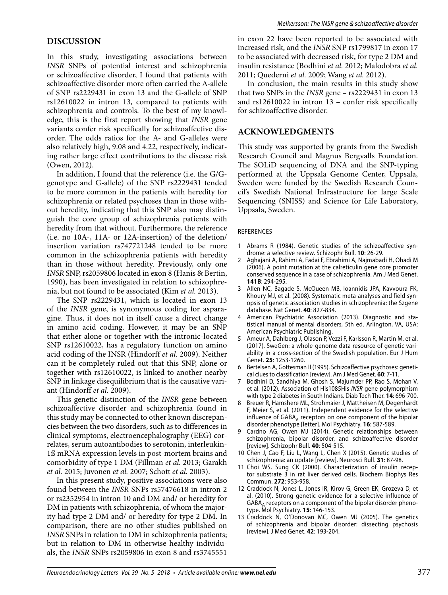## **DISCUSSION**

In this study, investigating associations between *INSR* SNPs of potential interest and schizophrenia or schizoaffective disorder, I found that patients with schizoaffective disorder more often carried the A-allele of SNP rs2229431 in exon 13 and the G-allele of SNP rs12610022 in intron 13, compared to patients with schizophrenia and controls. To the best of my knowledge, this is the first report showing that *INSR* gene variants confer risk specifically for schizoaffective disorder. The odds ratios for the A- and G-alleles were also relatively high, 9.08 and 4.22, respectively, indicating rather large effect contributions to the disease risk (Owen, 2012).

In addition, I found that the reference (i.e. the G/Ggenotype and G-allele) of the SNP rs2229431 tended to be more common in the patients with heredity for schizophrenia or related psychoses than in those without heredity, indicating that this SNP also may distinguish the core group of schizophrenia patients with heredity from that without. Furthermore, the reference (i.e. no 10A-, 11A- or 12A-insertion) of the deletion/ insertion variation rs747721248 tended to be more common in the schizophrenia patients with heredity than in those without heredity. Previously, only one *INSR* SNP, rs2059806 located in exon 8 (Hanis & Bertin, 1990), has been investigated in relation to schizophrenia, but not found to be associated (Kim *et al.* 2013).

The SNP rs2229431, which is located in exon 13 of the *INSR* gene, is synonymous coding for asparagine. Thus, it does not in itself cause a direct change in amino acid coding. However, it may be an SNP that either alone or together with the intronic-located SNP rs12610022, has a regulatory function on amino acid coding of the INSR (Hindorff *et al.* 2009). Neither can it be completely ruled out that this SNP, alone or together with rs12610022, is linked to another nearby SNP in linkage disequilibrium that is the causative variant (Hindorff *et al.* 2009).

This genetic distinction of the *INSR* gene between schizoaffective disorder and schizophrenia found in this study may be connected to other known discrepancies between the two disorders, such as to differences in clinical symptoms, electroencephalography (EEG) correlates, serum autoantibodies to serotonin, interleukin-1ß mRNA expression levels in post-mortem brains and comorbidity of type 1 DM (Fillman *et al.* 2013; Garakh *et al.* 2015; Juvonen *et al.* 2007; Schott *et al.* 2003).

In this present study, positive associations were also found between the *INSR* SNPs rs57476618 in intron 2 or rs2352954 in intron 10 and DM and/ or heredity for DM in patients with schizophrenia, of whom the majority had type 2 DM and/ or heredity for type 2 DM. In comparison, there are no other studies published on *INSR* SNPs in relation to DM in schizophrenia patients; but in relation to DM in otherwise healthy individuals, the *INSR* SNPs rs2059806 in exon 8 and rs3745551

in exon 22 have been reported to be associated with increased risk, and the *INSR* SNP rs1799817 in exon 17 to be associated with decreased risk, for type 2 DM and insulin resistance (Bodhini *et al.* 2012; Malodobra *et al.* 2011; Quederni *et al.* 2009; Wang *et al.* 2012).

In conclusion, the main results in this study show that two SNPs in the *INSR* gene – rs2229431 in exon 13 and rs12610022 in intron 13 – confer risk specifically for schizoaffective disorder.

#### **ACKNOWLEDGMENTS**

This study was supported by grants from the Swedish Research Council and Magnus Bergvalls Foundation. The SOLiD sequencing of DNA and the SNP-typing performed at the Uppsala Genome Center, Uppsala, Sweden were funded by the Swedish Research Council's Swedish National Infrastructure for large Scale Sequencing (SNISS) and Science for Life Laboratory, Uppsala, Sweden.

#### REFERENCES

- 1 Abrams R (1984). Genetic studies of the schizoaffective syndrome: a selective review. Schizophr Bull. **10**: 26-29.
- 2 Aghajani A, Rahimi A, Fadai F, Ebrahimi A, Najmabadi H, Ohadi M (2006). A point mutation at the calreticulin gene core promoter conserved sequence in a case of schizophrenia. Am J Med Genet. **141B**: 294-295.
- 3 Allen NC, Bagade S, McQueen MB, Ioannidis JPA, Kavvoura FK, Khoury MJ, et al. (2008). Systematic meta-analyses and field synopsis of genetic association studies in schizophrenia: the Szgene database. Nat Genet. **40**: 827-834.
- 4 American Psychiatric Association (2013). Diagnostic and statistical manual of mental disorders, 5th ed. Arlington, VA, USA: American Psychiatric Publishing.
- 5 Ameur A, Dahlberg J, Olason P, Vezzi F, Karlsson R, Martin M, et al. (2017). SweGen: a whole-genome data resource of genetic variability in a cross-section of the Swedish population. Eur J Hum Genet. **25**: 1253-1260.
- 6 Bertelsen A, Gottesman II (1995). Schizoaffective psychoses: genetical clues to classification [review]. Am J Med Genet. **60**: 7-11.
- 7 Bodhini D, Sandhiya M, Ghosh S, Majumder PP, Rao S, Mohan V, et al. (2012). Association of His1085His INSR gene polymorphism with type 2 diabetes in South Indians. Diab Tech Ther. **14**: 696-700.
- 8 Breuer R, Hamshere ML, Strohmaier J, Mattheisen M, Degenhardt F, Meier S, et al. (2011). Independent evidence for the selective influence of  $GABA_A$  receptors on one component of the bipolar disorder phenotype [letter]. Mol Psychiatry. **16**: 587-589.
- Cardno AG, Owen MJ (2014). Genetic relationships between schizophrenia, bipolar disorder, and schizoaffective disorder [review]. Schizophr Bull. **40**: 504-515.
- 10 Chen J, Cao F, Liu L, Wang L, Chen X (2015). Genetic studies of schizophrenia: an update [review]. Neurosci Bull. **31**: 87-98.
- 11 Choi WS, Sung CK (2000). Characterization of insulin receptor substrate 3 in rat liver derived cells. Biochem Biophys Res Commun. **272**: 953-958.
- 12 Craddock N, Jones L, Jones IR, Kirov G, Green EK, Grozeva D, et al. (2010). Strong genetic evidence for a selective influence of  $GABA_A$  receptors on a component of the bipolar disorder phenotype. Mol Psychiatry. **15**: 146-153.
- 13 Craddock N, O'Donovan MC, Owen MJ (2005). The genetics of schizophrenia and bipolar disorder: dissecting psychosis [review]. J Med Genet. **42**: 193-204.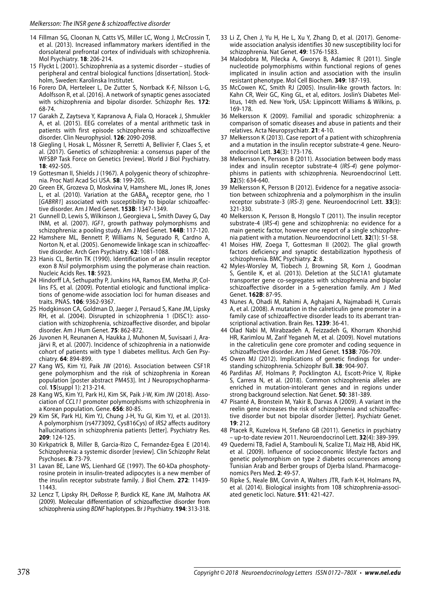- 14 Fillman SG, Cloonan N, Catts VS, Miller LC, Wong J, McCrossin T, et al. (2013). Increased inflammatory markers identified in the dorsolateral prefrontal cortex of individuals with schizophrenia. Mol Psychiatry. **18**: 206-214.
- 15 Flyckt L (2001). Schizophrenia as a systemic disorder studies of peripheral and central biological functions [dissertation]. Stockholm, Sweden: Karolinska Institutet.
- 16 Forero DA, Herteleer L, De Zutter S, Norrback K-F, Nilsson L-G, Adolfsson R, et al. (2016). A network of synaptic genes associated with schizophrenia and bipolar disorder. Schizophr Res. **172**: 68-74.
- 17 Garakh Z, Zaytseva Y, Kapranova A, Fiala O, Horacek J, Shmukler A, et al. (2015). EEG correlates of a mental arithmetic task in patients with first episode schizophrenia and schizoaffective disorder. Clin Neurophysiol. **126**: 2090-2098.
- 18 Giegling I, Hosak L, Mössner R, Serretti A, Bellivier F, Claes S, et al. (2017). Genetics of schizophrenia: a consensus paper of the WFSBP Task Force on Genetics [review]. World J Biol Psychiatry. **18**: 492-505.
- 19 Gottesman II, Shields J (1967). A polygenic theory of schizophrenia. Proc Natl Acad Sci USA. **58**: 199-205.
- 20 Green EK, Grozeva D, Moskvina V, Hamshere ML, Jones IR, Jones L, et al. (2010). Variation at the  $GABA_A$  receptor gene, rho 1 [GABRR1] associated with susceptibility to bipolar schizoaffective disorder. Am J Med Genet. **153B**: 1347-1349.
- 21 Gunnell D, Lewis S, Wilkinson J, Georgieva L, Smith Davey G, Day INM, et al. (2007). IGF1, growth pathway polymorphisms and schizophrenia: a pooling study. Am J Med Genet. **144B**: 117-120.
- 22 Hamshere ML, Bennett P, Williams N, Segurado R, Cardno A, Norton N, et al. (2005). Genomewide linkage scan in schizoaffective disorder. Arch Gen Psychiatry. **62**: 1081-1088.
- 23 Hanis CL, Bertin TK (1990). Identification of an insulin receptor exon 8 NsiI polymorphism using the polymerase chain reaction. Nucleic Acids Res. **18**: 5923.
- 24 Hindorff LA, Sethupathy P, Junkins HA, Ramos EM, Metha JP, Collins FS, et al. (2009). Potential etiologic and functional implications of genome-wide association loci for human diseases and traits. PNAS. **106**: 9362-9367.
- 25 Hodgkinson CA, Goldman D, Jaeger J, Persaud S, Kane JM, Lipsky RH, et al. (2004). Disrupted in schizophrenia 1 (DISC1): association with schizophrenia, schizoaffective disorder, and bipolar disorder. Am J Hum Genet. **75**: 862-872.
- 26 Juvonen H, Reunanen A, Haukka J, Muhonen M, Suvisaari J, Arajärvi R, et al. (2007). Incidence of schizophrenia in a nationwide cohort of patients with type 1 diabetes mellitus. Arch Gen Psychiatry. **64**: 894-899.
- 27 Kang WS, Kim YJ, Paik JW (2016). Association between CSF1R gene polymorphism and the risk of schizophrenia in Korean population [poster abstract PM453]. Int J Neuropsychopharmacol. **15**(suppl 1): 213-214.
- 28 Kang WS, Kim YJ, Park HJ, Kim SK, Paik J-W, Kim JW (2018). Association of CCL11 promoter polymorphisms with schizophrenia in a Korean population. Gene. **656**: 80-85.
- 29 Kim SK, Park HJ, Kim YJ, Chung J-H, Yu GI, Kim YJ, et al. (2013). A polymorphism (rs4773092, Cys816Cys) of IRS2 affects auditory hallucinations in schizophrenia patients [letter]. Psychiatry Res. **209**: 124-125.
- 30 Kirkpatrick B, Miller B, Garcia-Rizo C, Fernandez-Egea E (2014). Schizophrenia: a systemic disorder [review]. Clin Schizophr Relat Psychoses. **8**: 73-79.
- 31 Lavan BE, Lane WS, Lienhard GE (1997). The 60-kDa phosphotyrosine protein in insulin-treated adipocytes is a new member of the insulin receptor substrate family. J Biol Chem. **272**: 11439- 11443.
- 32 Lencz T, Lipsky RH, DeRosse P, Burdick KE, Kane JM, Malhotra AK (2009). Molecular differentiation of schizoaffective disorder from schizophrenia using BDNF haplotypes. Br J Psychiatry. **194**: 313-318.
- 33 Li Z, Chen J, Yu H, He L, Xu Y, Zhang D, et al. (2017). Genomewide association analysis identifies 30 new susceptibility loci for schizophrenia. Nat Genet. **49**: 1576-1583.
- 34 Malodobra M, Pilecka A, Gworys B, Adamiec R (2011). Single nucleotide polymorphisms within functional regions of genes implicated in insulin action and association with the insulin resistant phenotype. Mol Cell Biochem. **349**: 187-193.
- 35 McCowen KC, Smith RJ (2005). Insulin-like growth factors. In: Kahn CR, Weir GC, King GL, et al, editors. Joslin's Diabetes Mellitus, 14th ed. New York, USA: Lippincott Williams & Wilkins, p. 169-178.
- 36 Melkersson K (2009). Familial and sporadic schizophrenia: a comparison of somatic diseases and abuse in patients and their relatives. Acta Neuropsychiatr. **21**: 4-10.
- 37 Melkersson K (2013). Case report of a patient with schizophrenia and a mutation in the insulin receptor substrate-4 gene. Neuroendocrinol Lett. **34**(3): 173-176.
- 38 Melkersson K, Persson B (2011). Association between body mass index and insulin receptor substrate-4 (IRS-4) gene polymorphisms in patients with schizophrenia. Neuroendocrinol Lett. **32**(5): 634-640.
- 39 Melkersson K, Persson B (2012). Evidence for a negative association between schizophrenia and a polymorphism in the insulin receptor substrate-3 (IRS-3) gene. Neuroendocrinol Lett. **33**(3): 321-330.
- 40 Melkersson K, Persson B, Hongslo T (2011). The insulin receptor substrate-4 (IRS-4) gene and schizophrenia: no evidence for a main genetic factor, however one report of a single schizophrenia patient with a mutation. Neuroendocrinol Lett. **32**(1): 51-58.
- 41 Moises HW, Zoega T, Gottesman II (2002). The glial growth factors deficiency and synaptic destabilization hypothesis of schizophrenia. BMC Psychiatry. **2**: 8.
- 42 Myles-Worsley M, Tiobech J, Browning SR, Korn J, Goodman S, Gentile K, et al. (2013). Deletion at the SLC1A1 glutamate transporter gene co-segregates with schizophrenia and bipolar schizoaffective disorder in a 5-generation family. Am J Med Genet. **162B**: 87-95.
- 43 Nunes A, Ohadi M, Rahimi A, Aghajani A, Najmabadi H, Currais A, et al. (2008). A mutation in the calreticulin gene promoter in a family case of schizoaffective disorder leads to its aberrant transcriptional activation. Brain Res. **1239**: 36-41.
- 44 Olad Nabi M, Mirabzadeh A, Feizzadeh G, Khorram Khorshid HR, Karimlou M, Zarif Yeganeh M, et al. (2009). Novel mutations in the calreticulin gene core promoter and coding sequence in schizoaffective disorder. Am J Med Genet. **153B**: 706-709.
- 45 Owen MJ (2012). Implications of genetic findings for understanding schizophrenia. Schizophr Bull. **38**: 904-907.
- 46 Pardiňas AF, Holmans P, Pocklington AJ, Escott-Price V, Ripke S, Carrera N, et al. (2018). Common schizophrenia alleles are enriched in mutation-intolerant genes and in regions under strong background selection. Nat Genet. **50**: 381-389.
- 47 Pisanté A, Bronstein M, Yakir B, Darvas A (2009). A variant in the reelin gene increases the risk of schizophrenia and schizoaffective disorder but not bipolar disorder [letter]. Psychiatr Genet. **19**: 212.
- 48 Ptacek R, Kuzelova H, Stefano GB (2011). Genetics in psychiatry – up-to-date review 2011. Neuroendocrinol Lett. **32**(4): 389-399.
- 49 Quederni TB, Fadiel A, Stambouli N, Scalize TJ, Maiz HB, Abid HK, et al. (2009). Influence of socioeconomic lifestyle factors and genetic polymorphism on type 2 diabetes occurrences among Tunisian Arab and Berber groups of Djerba Island. Pharmacogenomics Pers Med. **2**: 49-57.
- 50 Ripke S, Neale BM, Corvin A, Walters JTR, Farh K-H, Holmans PA, et al. (2014). Biological insights from 108 schizophrenia-associated genetic loci. Nature. **511**: 421-427.